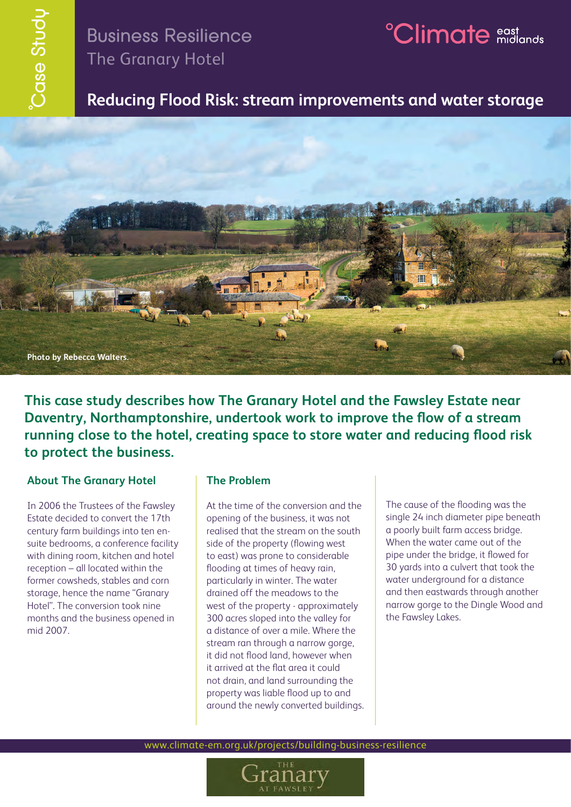# Business Resilience The Granary Hotel

# <sup>2</sup>Climate east and

## **Reducing Flood Risk: stream improvements and water storage**



**This case study describes how The Granary Hotel and the Fawsley Estate near Daventry, Northamptonshire, undertook work to improve the flow of a stream running close to the hotel, creating space to store water and reducing flood risk to protect the business.**

### **About The Granary Hotel**

In 2006 the Trustees of the Fawsley Estate decided to convert the 17th century farm buildings into ten ensuite bedrooms, a conference facility with dining room, kitchen and hotel reception – all located within the former cowsheds, stables and corn storage, hence the name "Granary Hotel". The conversion took nine months and the business opened in mid 2007.

### **The Problem**

At the time of the conversion and the opening of the business, it was not realised that the stream on the south side of the property (flowing west to east) was prone to considerable flooding at times of heavy rain, particularly in winter. The water drained off the meadows to the west of the property - approximately 300 acres sloped into the valley for a distance of over a mile. Where the stream ran through a narrow gorge, it did not flood land, however when it arrived at the flat area it could not drain, and land surrounding the property was liable flood up to and around the newly converted buildings. The cause of the flooding was the single 24 inch diameter pipe beneath a poorly built farm access bridge. When the water came out of the pipe under the bridge, it flowed for 30 yards into a culvert that took the water underground for a distance and then eastwards through another narrow gorge to the Dingle Wood and the Fawsley Lakes.

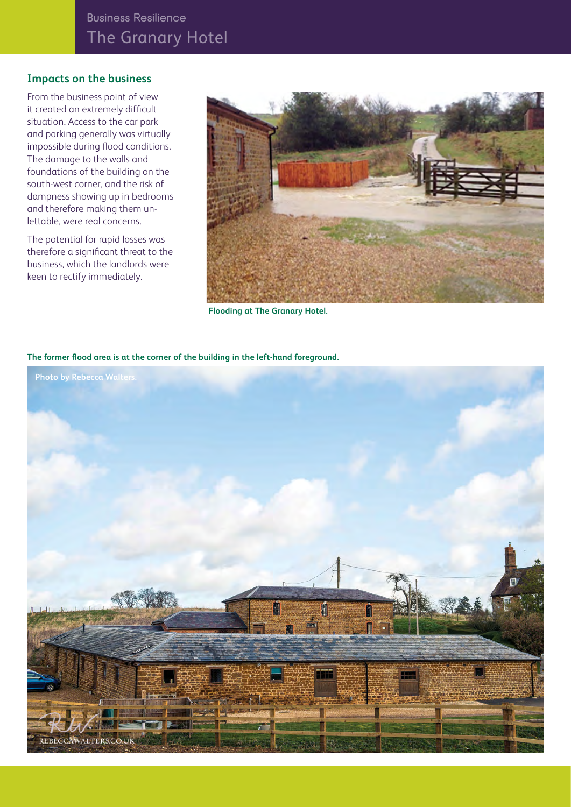### **Impacts on the business**

From the business point of view it created an extremely difficult situation. Access to the car park and parking generally was virtually impossible during flood conditions. The damage to the walls and foundations of the building on the south-west corner, and the risk of dampness showing up in bedrooms and therefore making them unlettable, were real concerns.

The potential for rapid losses was therefore a significant threat to the business, which the landlords were keen to rectify immediately.



 **Flooding at The Granary Hotel.**

### **The former flood area is at the corner of the building in the left-hand foreground.**

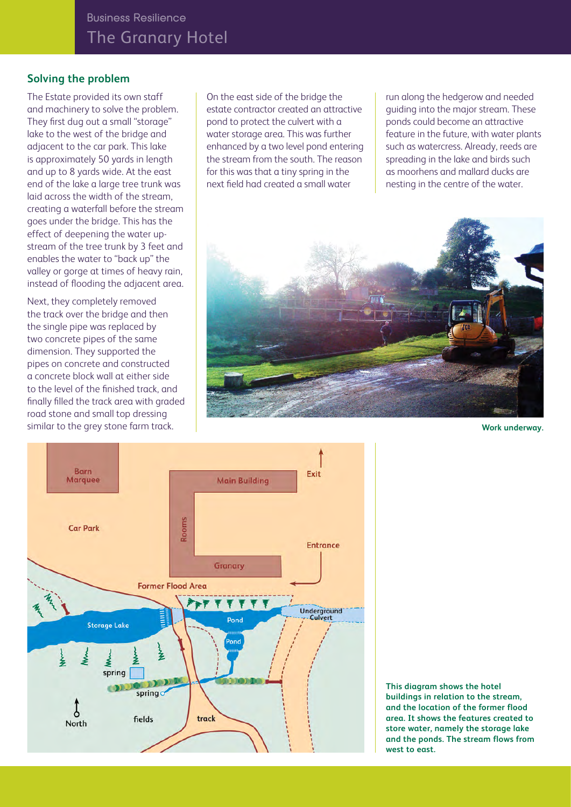## **Solving the problem**

The Estate provided its own staff and machinery to solve the problem. They first dug out a small "storage" lake to the west of the bridge and adjacent to the car park. This lake is approximately 50 yards in length and up to 8 yards wide. At the east end of the lake a large tree trunk was laid across the width of the stream, creating a waterfall before the stream goes under the bridge. This has the effect of deepening the water upstream of the tree trunk by 3 feet and enables the water to "back up" the valley or gorge at times of heavy rain, instead of flooding the adjacent area.

Next, they completely removed the track over the bridge and then the single pipe was replaced by two concrete pipes of the same dimension. They supported the pipes on concrete and constructed a concrete block wall at either side to the level of the finished track, and finally filled the track area with graded road stone and small top dressing similar to the grey stone farm track.

On the east side of the bridge the estate contractor created an attractive pond to protect the culvert with a water storage area. This was further enhanced by a two level pond entering the stream from the south. The reason for this was that a tiny spring in the next field had created a small water

run along the hedgerow and needed guiding into the major stream. These ponds could become an attractive feature in the future, with water plants such as watercress. Already, reeds are spreading in the lake and birds such as moorhens and mallard ducks are nesting in the centre of the water.



**Work underway.**



**This diagram shows the hotel buildings in relation to the stream, and the location of the former flood area. It shows the features created to store water, namely the storage lake and the ponds. The stream flows from west to east.**